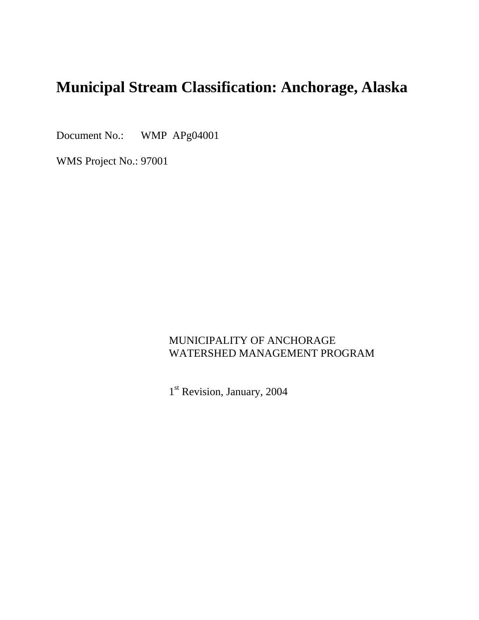# **Municipal Stream Classification: Anchorage, Alaska**

Document No.: WMP APg04001

WMS Project No.: 97001

### MUNICIPALITY OF ANCHORAGE WATERSHED MANAGEMENT PROGRAM

1<sup>st</sup> Revision, January, 2004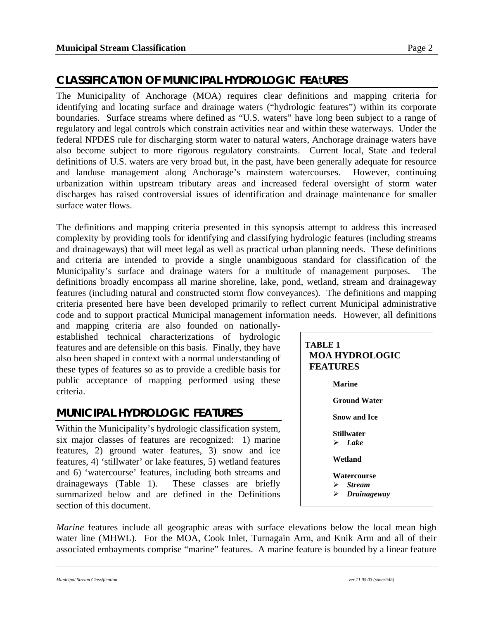## **CLASSIFICATION OF MUNICIPAL HYDROLOGIC FEA**t**URES**

The Municipality of Anchorage (MOA) requires clear definitions and mapping criteria for identifying and locating surface and drainage waters ("hydrologic features") within its corporate boundaries. Surface streams where defined as "U.S. waters" have long been subject to a range of regulatory and legal controls which constrain activities near and within these waterways. Under the federal NPDES rule for discharging storm water to natural waters, Anchorage drainage waters have also become subject to more rigorous regulatory constraints. Current local, State and federal definitions of U.S. waters are very broad but, in the past, have been generally adequate for resource and landuse management along Anchorage's mainstem watercourses. However, continuing urbanization within upstream tributary areas and increased federal oversight of storm water discharges has raised controversial issues of identification and drainage maintenance for smaller surface water flows.

The definitions and mapping criteria presented in this synopsis attempt to address this increased complexity by providing tools for identifying and classifying hydrologic features (including streams and drainageways) that will meet legal as well as practical urban planning needs. These definitions and criteria are intended to provide a single unambiguous standard for classification of the Municipality's surface and drainage waters for a multitude of management purposes. The definitions broadly encompass all marine shoreline, lake, pond, wetland, stream and drainageway features (including natural and constructed storm flow conveyances). The definitions and mapping criteria presented here have been developed primarily to reflect current Municipal administrative code and to support practical Municipal management information needs. However, all definitions

and mapping criteria are also founded on nationallyestablished technical characterizations of hydrologic features and are defensible on this basis. Finally, they have also been shaped in context with a normal understanding of these types of features so as to provide a credible basis for public acceptance of mapping performed using these criteria.

### **MUNICIPAL HYDROLOGIC FEATURES**

Within the Municipality's hydrologic classification system, six major classes of features are recognized: 1) marine features, 2) ground water features, 3) snow and ice features, 4) 'stillwater' or lake features, 5) wetland features and 6) 'watercourse' features, including both streams and drainageways (Table 1). These classes are briefly summarized below and are defined in the Definitions section of this document.

| TABLE 1<br><b>MOA HYDROLOGIC</b><br><b>FEATURES</b>                    |
|------------------------------------------------------------------------|
| <b>Marine</b>                                                          |
| <b>Ground Water</b>                                                    |
| <b>Snow and Ice</b>                                                    |
| <b>Stillwater</b><br>$\angle$ Lake                                     |
| Wetland                                                                |
| Watercourse<br>$\triangleright$ Stream<br>$\triangleright$ Drainageway |

*Marine* features include all geographic areas with surface elevations below the local mean high water line (MHWL). For the MOA, Cook Inlet, Turnagain Arm, and Knik Arm and all of their associated embayments comprise "marine" features. A marine feature is bounded by a linear feature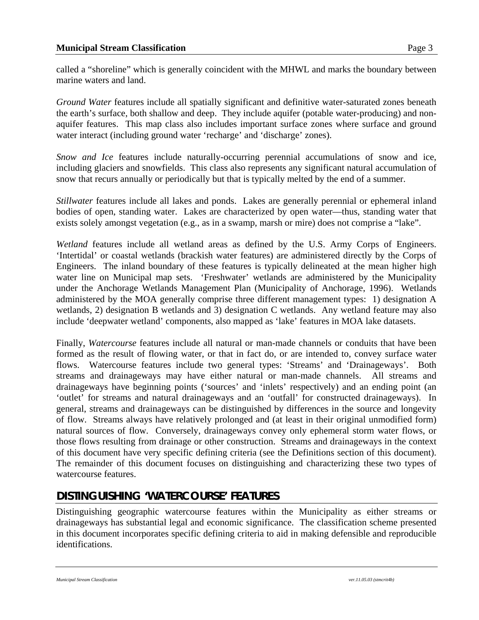called a "shoreline" which is generally coincident with the MHWL and marks the boundary between marine waters and land.

*Ground Water* features include all spatially significant and definitive water-saturated zones beneath the earth's surface, both shallow and deep. They include aquifer (potable water-producing) and nonaquifer features. This map class also includes important surface zones where surface and ground water interact (including ground water 'recharge' and 'discharge' zones).

*Snow and Ice* features include naturally-occurring perennial accumulations of snow and ice, including glaciers and snowfields. This class also represents any significant natural accumulation of snow that recurs annually or periodically but that is typically melted by the end of a summer.

*Stillwater* features include all lakes and ponds. Lakes are generally perennial or ephemeral inland bodies of open, standing water. Lakes are characterized by open water—thus, standing water that exists solely amongst vegetation (e.g., as in a swamp, marsh or mire) does not comprise a "lake".

*Wetland* features include all wetland areas as defined by the U.S. Army Corps of Engineers. 'Intertidal' or coastal wetlands (brackish water features) are administered directly by the Corps of Engineers. The inland boundary of these features is typically delineated at the mean higher high water line on Municipal map sets. 'Freshwater' wetlands are administered by the Municipality under the Anchorage Wetlands Management Plan (Municipality of Anchorage, 1996). Wetlands administered by the MOA generally comprise three different management types: 1) designation A wetlands, 2) designation B wetlands and 3) designation C wetlands. Any wetland feature may also include 'deepwater wetland' components, also mapped as 'lake' features in MOA lake datasets.

Finally, *Watercourse* features include all natural or man-made channels or conduits that have been formed as the result of flowing water, or that in fact do, or are intended to, convey surface water flows. Watercourse features include two general types: 'Streams' and 'Drainageways'. Both streams and drainageways may have either natural or man-made channels. All streams and drainageways have beginning points ('sources' and 'inlets' respectively) and an ending point (an 'outlet' for streams and natural drainageways and an 'outfall' for constructed drainageways). In general, streams and drainageways can be distinguished by differences in the source and longevity of flow. Streams always have relatively prolonged and (at least in their original unmodified form) natural sources of flow. Conversely, drainageways convey only ephemeral storm water flows, or those flows resulting from drainage or other construction. Streams and drainageways in the context of this document have very specific defining criteria (see the Definitions section of this document). The remainder of this document focuses on distinguishing and characterizing these two types of watercourse features.

## **DISTINGUISHING 'WATERCOURSE' FEATURES**

Distinguishing geographic watercourse features within the Municipality as either streams or drainageways has substantial legal and economic significance. The classification scheme presented in this document incorporates specific defining criteria to aid in making defensible and reproducible identifications.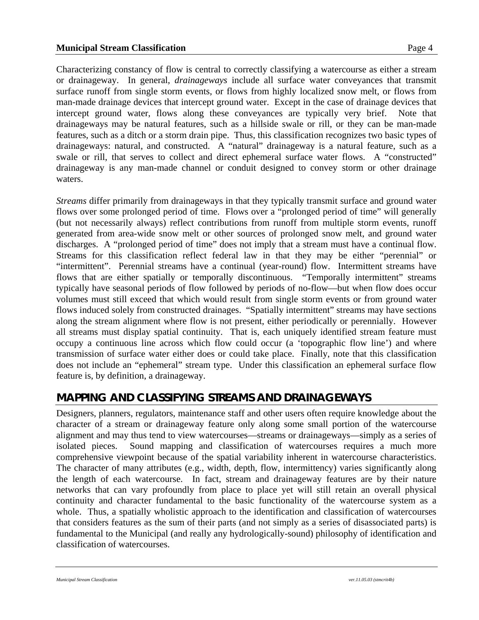#### **Municipal Stream Classification Page 4**

Characterizing constancy of flow is central to correctly classifying a watercourse as either a stream or drainageway. In general, *drainageways* include all surface water conveyances that transmit surface runoff from single storm events, or flows from highly localized snow melt, or flows from man-made drainage devices that intercept ground water. Except in the case of drainage devices that intercept ground water, flows along these conveyances are typically very brief. Note that drainageways may be natural features, such as a hillside swale or rill, or they can be man-made features, such as a ditch or a storm drain pipe. Thus, this classification recognizes two basic types of drainageways: natural, and constructed. A "natural" drainageway is a natural feature, such as a swale or rill, that serves to collect and direct ephemeral surface water flows. A "constructed" drainageway is any man-made channel or conduit designed to convey storm or other drainage waters.

*Streams* differ primarily from drainageways in that they typically transmit surface and ground water flows over some prolonged period of time. Flows over a "prolonged period of time" will generally (but not necessarily always) reflect contributions from runoff from multiple storm events, runoff generated from area-wide snow melt or other sources of prolonged snow melt, and ground water discharges. A "prolonged period of time" does not imply that a stream must have a continual flow. Streams for this classification reflect federal law in that they may be either "perennial" or "intermittent". Perennial streams have a continual (year-round) flow. Intermittent streams have flows that are either spatially or temporally discontinuous. "Temporally intermittent" streams typically have seasonal periods of flow followed by periods of no-flow—but when flow does occur volumes must still exceed that which would result from single storm events or from ground water flows induced solely from constructed drainages. "Spatially intermittent" streams may have sections along the stream alignment where flow is not present, either periodically or perennially. However all streams must display spatial continuity. That is, each uniquely identified stream feature must occupy a continuous line across which flow could occur (a 'topographic flow line') and where transmission of surface water either does or could take place. Finally, note that this classification does not include an "ephemeral" stream type. Under this classification an ephemeral surface flow feature is, by definition, a drainageway.

#### **MAPPING AND CLASSIFYING STREAMS AND DRAINAGEWAYS**

Designers, planners, regulators, maintenance staff and other users often require knowledge about the character of a stream or drainageway feature only along some small portion of the watercourse alignment and may thus tend to view watercourses—streams or drainageways—simply as a series of isolated pieces. Sound mapping and classification of watercourses requires a much more comprehensive viewpoint because of the spatial variability inherent in watercourse characteristics. The character of many attributes (e.g., width, depth, flow, intermittency) varies significantly along the length of each watercourse. In fact, stream and drainageway features are by their nature networks that can vary profoundly from place to place yet will still retain an overall physical continuity and character fundamental to the basic functionality of the watercourse system as a whole. Thus, a spatially wholistic approach to the identification and classification of watercourses that considers features as the sum of their parts (and not simply as a series of disassociated parts) is fundamental to the Municipal (and really any hydrologically-sound) philosophy of identification and classification of watercourses.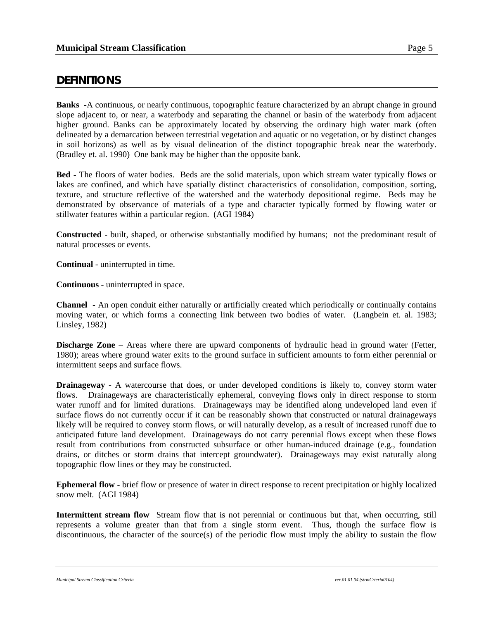#### **DEFINITIONS**

**Banks -**A continuous, or nearly continuous, topographic feature characterized by an abrupt change in ground slope adjacent to, or near, a waterbody and separating the channel or basin of the waterbody from adjacent higher ground. Banks can be approximately located by observing the ordinary high water mark (often delineated by a demarcation between terrestrial vegetation and aquatic or no vegetation, or by distinct changes in soil horizons) as well as by visual delineation of the distinct topographic break near the waterbody. (Bradley et. al. 1990) One bank may be higher than the opposite bank.

**Bed -** The floors of water bodies. Beds are the solid materials, upon which stream water typically flows or lakes are confined, and which have spatially distinct characteristics of consolidation, composition, sorting, texture, and structure reflective of the watershed and the waterbody depositional regime. Beds may be demonstrated by observance of materials of a type and character typically formed by flowing water or stillwater features within a particular region. (AGI 1984)

**Constructed** - built, shaped, or otherwise substantially modified by humans; not the predominant result of natural processes or events.

**Continual** - uninterrupted in time.

**Continuous** - uninterrupted in space.

**Channel -** An open conduit either naturally or artificially created which periodically or continually contains moving water, or which forms a connecting link between two bodies of water. (Langbein et. al. 1983; Linsley, 1982)

**Discharge Zone** – Areas where there are upward components of hydraulic head in ground water (Fetter, 1980); areas where ground water exits to the ground surface in sufficient amounts to form either perennial or intermittent seeps and surface flows.

**Drainageway** - A watercourse that does, or under developed conditions is likely to, convey storm water flows. Drainageways are characteristically ephemeral, conveying flows only in direct response to storm water runoff and for limited durations. Drainageways may be identified along undeveloped land even if surface flows do not currently occur if it can be reasonably shown that constructed or natural drainageways likely will be required to convey storm flows, or will naturally develop, as a result of increased runoff due to anticipated future land development. Drainageways do not carry perennial flows except when these flows result from contributions from constructed subsurface or other human-induced drainage (e.g., foundation drains, or ditches or storm drains that intercept groundwater). Drainageways may exist naturally along topographic flow lines or they may be constructed.

**Ephemeral flow** - brief flow or presence of water in direct response to recent precipitation or highly localized snow melt. (AGI 1984)

**Intermittent stream flow** Stream flow that is not perennial or continuous but that, when occurring, still represents a volume greater than that from a single storm event. Thus, though the surface flow is discontinuous, the character of the source(s) of the periodic flow must imply the ability to sustain the flow

*Municipal Stream Classification Criteria ver.01.01.04 (strmCrteria0104)*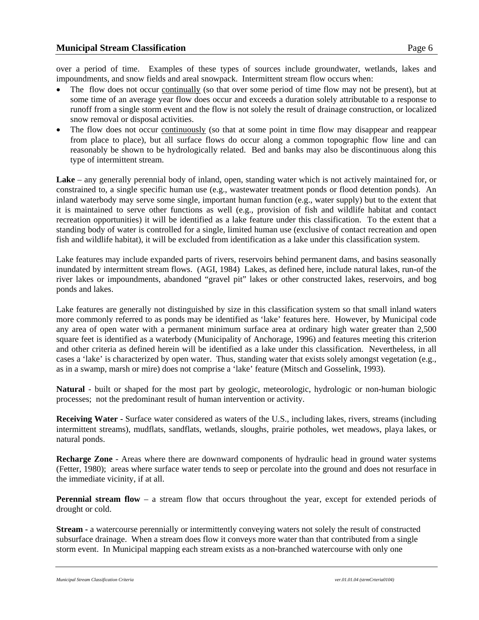over a period of time. Examples of these types of sources include groundwater, wetlands, lakes and impoundments, and snow fields and areal snowpack. Intermittent stream flow occurs when:

- The flow does not occur continually (so that over some period of time flow may not be present), but at some time of an average year flow does occur and exceeds a duration solely attributable to a response to runoff from a single storm event and the flow is not solely the result of drainage construction, or localized snow removal or disposal activities.
- The flow does not occur continuously (so that at some point in time flow may disappear and reappear from place to place), but all surface flows do occur along a common topographic flow line and can reasonably be shown to be hydrologically related. Bed and banks may also be discontinuous along this type of intermittent stream.

**Lake** – any generally perennial body of inland, open, standing water which is not actively maintained for, or constrained to, a single specific human use (e.g., wastewater treatment ponds or flood detention ponds). An inland waterbody may serve some single, important human function (e.g., water supply) but to the extent that it is maintained to serve other functions as well (e.g., provision of fish and wildlife habitat and contact recreation opportunities) it will be identified as a lake feature under this classification. To the extent that a standing body of water is controlled for a single, limited human use (exclusive of contact recreation and open fish and wildlife habitat), it will be excluded from identification as a lake under this classification system.

Lake features may include expanded parts of rivers, reservoirs behind permanent dams, and basins seasonally inundated by intermittent stream flows. (AGI, 1984) Lakes, as defined here, include natural lakes, run-of the river lakes or impoundments, abandoned "gravel pit" lakes or other constructed lakes, reservoirs, and bog ponds and lakes.

Lake features are generally not distinguished by size in this classification system so that small inland waters more commonly referred to as ponds may be identified as 'lake' features here. However, by Municipal code any area of open water with a permanent minimum surface area at ordinary high water greater than 2,500 square feet is identified as a waterbody (Municipality of Anchorage, 1996) and features meeting this criterion and other criteria as defined herein will be identified as a lake under this classification. Nevertheless, in all cases a 'lake' is characterized by open water. Thus, standing water that exists solely amongst vegetation (e.g., as in a swamp, marsh or mire) does not comprise a 'lake' feature (Mitsch and Gosselink, 1993).

**Natural** - built or shaped for the most part by geologic, meteorologic, hydrologic or non-human biologic processes; not the predominant result of human intervention or activity.

**Receiving Water -** Surface water considered as waters of the U.S., including lakes, rivers, streams (including intermittent streams), mudflats, sandflats, wetlands, sloughs, prairie potholes, wet meadows, playa lakes, or natural ponds.

**Recharge Zone** - Areas where there are downward components of hydraulic head in ground water systems (Fetter, 1980); areas where surface water tends to seep or percolate into the ground and does not resurface in the immediate vicinity, if at all.

**Perennial stream flow** – a stream flow that occurs throughout the year, except for extended periods of drought or cold.

**Stream - a** watercourse perennially or intermittently conveying waters not solely the result of constructed subsurface drainage. When a stream does flow it conveys more water than that contributed from a single storm event. In Municipal mapping each stream exists as a non-branched watercourse with only one

*Municipal Stream Classification Criteria ver.01.01.04 (strmCrteria0104)*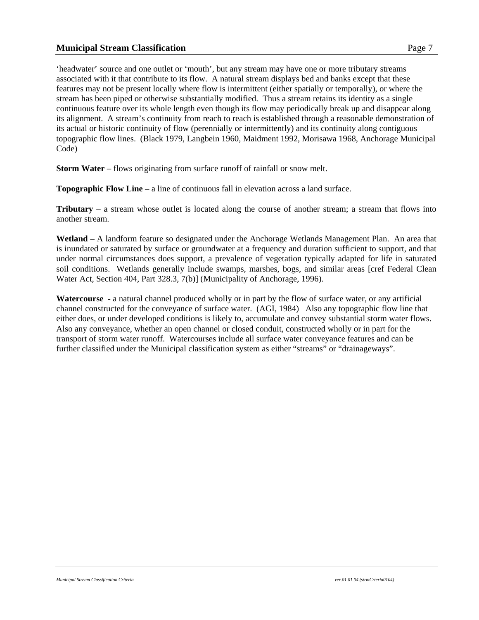#### **Municipal Stream Classification Page 7**

'headwater' source and one outlet or 'mouth', but any stream may have one or more tributary streams associated with it that contribute to its flow. A natural stream displays bed and banks except that these features may not be present locally where flow is intermittent (either spatially or temporally), or where the stream has been piped or otherwise substantially modified. Thus a stream retains its identity as a single continuous feature over its whole length even though its flow may periodically break up and disappear along its alignment. A stream's continuity from reach to reach is established through a reasonable demonstration of its actual or historic continuity of flow (perennially or intermittently) and its continuity along contiguous topographic flow lines. (Black 1979, Langbein 1960, Maidment 1992, Morisawa 1968, Anchorage Municipal Code)

**Storm Water** – flows originating from surface runoff of rainfall or snow melt.

**Topographic Flow Line** – a line of continuous fall in elevation across a land surface.

**Tributary** – a stream whose outlet is located along the course of another stream; a stream that flows into another stream.

**Wetland** – A landform feature so designated under the Anchorage Wetlands Management Plan. An area that is inundated or saturated by surface or groundwater at a frequency and duration sufficient to support, and that under normal circumstances does support, a prevalence of vegetation typically adapted for life in saturated soil conditions. Wetlands generally include swamps, marshes, bogs, and similar areas [cref Federal Clean Water Act, Section 404, Part 328.3, 7(b)] (Municipality of Anchorage, 1996).

**Watercourse -** a natural channel produced wholly or in part by the flow of surface water, or any artificial channel constructed for the conveyance of surface water. (AGI, 1984) Also any topographic flow line that either does, or under developed conditions is likely to, accumulate and convey substantial storm water flows. Also any conveyance, whether an open channel or closed conduit, constructed wholly or in part for the transport of storm water runoff. Watercourses include all surface water conveyance features and can be further classified under the Municipal classification system as either "streams" or "drainageways".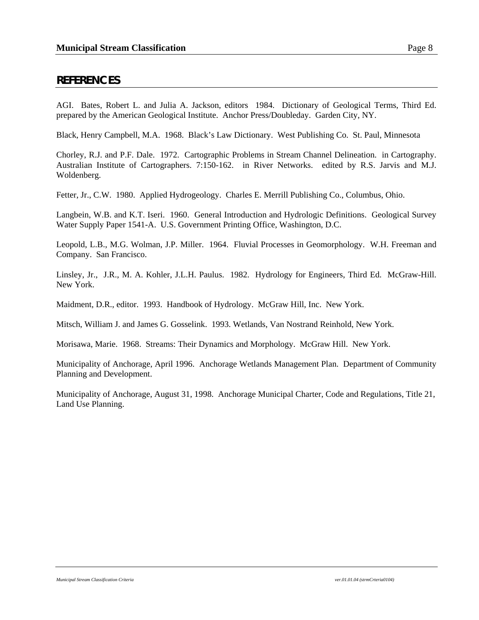#### **REFERENCES**

AGI. Bates, Robert L. and Julia A. Jackson, editors 1984. Dictionary of Geological Terms, Third Ed. prepared by the American Geological Institute. Anchor Press/Doubleday. Garden City, NY.

Black, Henry Campbell, M.A. 1968. Black's Law Dictionary. West Publishing Co. St. Paul, Minnesota

Chorley, R.J. and P.F. Dale. 1972. Cartographic Problems in Stream Channel Delineation. in Cartography. Australian Institute of Cartographers. 7:150-162. in River Networks. edited by R.S. Jarvis and M.J. Woldenberg.

Fetter, Jr., C.W. 1980. Applied Hydrogeology. Charles E. Merrill Publishing Co., Columbus, Ohio.

Langbein, W.B. and K.T. Iseri. 1960. General Introduction and Hydrologic Definitions. Geological Survey Water Supply Paper 1541-A. U.S. Government Printing Office, Washington, D.C.

Leopold, L.B., M.G. Wolman, J.P. Miller. 1964. Fluvial Processes in Geomorphology. W.H. Freeman and Company. San Francisco.

Linsley, Jr., J.R., M. A. Kohler, J.L.H. Paulus. 1982. Hydrology for Engineers, Third Ed. McGraw-Hill. New York.

Maidment, D.R., editor. 1993. Handbook of Hydrology. McGraw Hill, Inc. New York.

Mitsch, William J. and James G. Gosselink. 1993. Wetlands, Van Nostrand Reinhold, New York.

Morisawa, Marie. 1968. Streams: Their Dynamics and Morphology. McGraw Hill. New York.

Municipality of Anchorage, April 1996. Anchorage Wetlands Management Plan. Department of Community Planning and Development.

Municipality of Anchorage, August 31, 1998. Anchorage Municipal Charter, Code and Regulations, Title 21, Land Use Planning.